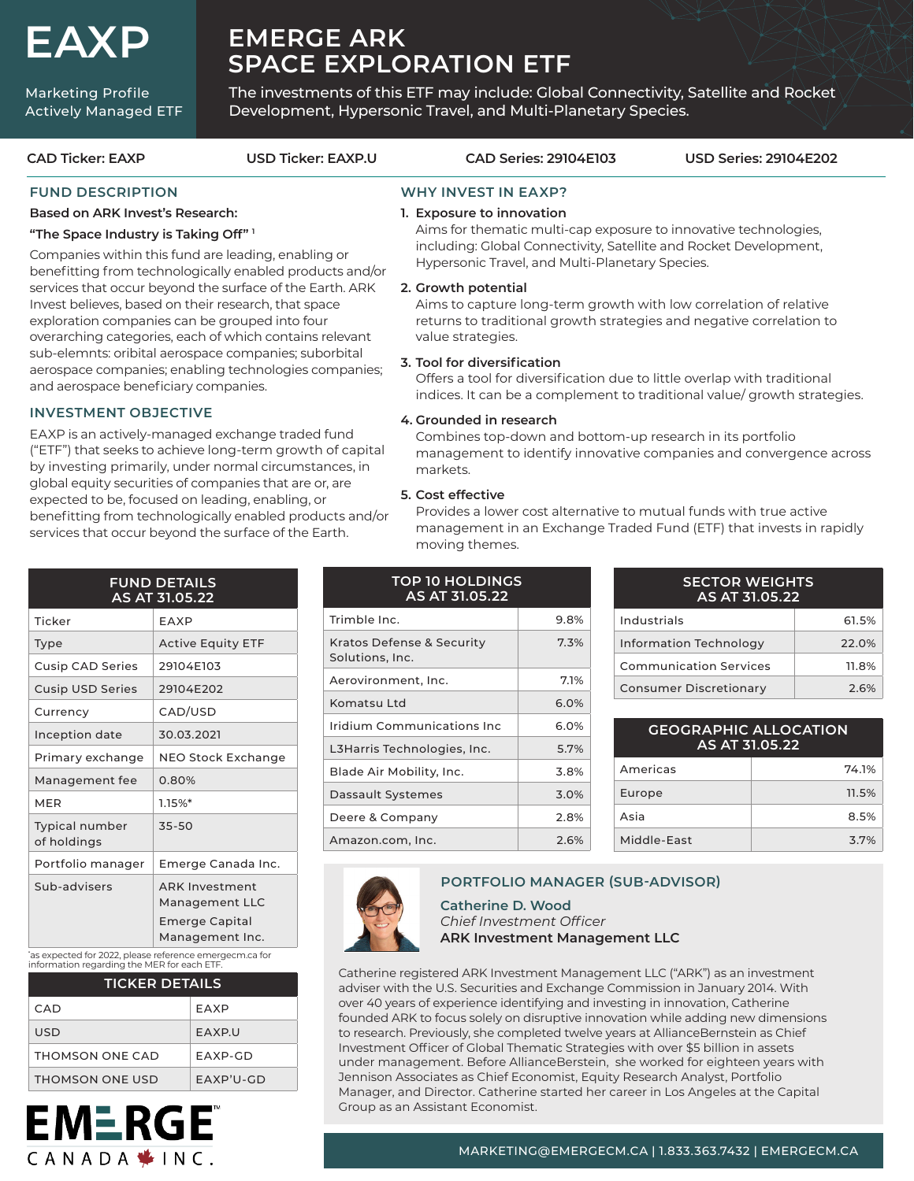# **EAXP**

Marketing Profile Actively Managed ETF

# **EMERGE ARK SPACE EXPLORATION ETF**

The investments of this ETF may include: Global Connectivity, Satellite and Rocket Development, Hypersonic Travel, and Multi-Planetary Species.

#### **SECTOR WEIGHTS AS AT 31.05.22 FUND DETAILS AS AT 31.05.22** Ticker EAXP Type Active Equity ETF **TOP 10 HOLDINGS AS AT 31.05.22** Trimble Inc. 9.8% Kratos Defense & Security 7.3% **CAD Ticker: EAXP USD Ticker: EAXP.U CAD Series: 29104E103 USD Series: 29104E202 WHY INVEST IN EAXP? 1. Exposure to innovation** Aims for thematic multi-cap exposure to innovative technologies, including: Global Connectivity, Satellite and Rocket Development, Hypersonic Travel, and Multi-Planetary Species. **2. Growth potential** Aims to capture long-term growth with low correlation of relative returns to traditional growth strategies and negative correlation to value strategies. **3. Tool for diversification** Offers a tool for diversification due to little overlap with traditional indices. It can be a complement to traditional value/ growth strategies. **4. Grounded in research** Combines top-down and bottom-up research in its portfolio management to identify innovative companies and convergence across markets. **5. Cost effective** Provides a lower cost alternative to mutual funds with true active management in an Exchange Traded Fund (ETF) that invests in rapidly moving themes. **FUND DESCRIPTION Based on ARK Invest's Research: "The Space Industry is Taking Off" 1** Companies within this fund are leading, enabling or benefitting from technologically enabled products and/or services that occur beyond the surface of the Earth. ARK Invest believes, based on their research, that space exploration companies can be grouped into four overarching categories, each of which contains relevant sub-elemnts: oribital aerospace companies; suborbital aerospace companies; enabling technologies companies; and aerospace beneficiary companies. **INVESTMENT OBJECTIVE** EAXP is an actively-managed exchange traded fund ("ETF") that seeks to achieve long-term growth of capital by investing primarily, under normal circumstances, in global equity securities of companies that are or, are expected to be, focused on leading, enabling, or benefitting from technologically enabled products and/or services that occur beyond the surface of the Earth.

| Ticker                               | EAXP                                                                         |
|--------------------------------------|------------------------------------------------------------------------------|
| Type                                 | <b>Active Equity ETF</b>                                                     |
| Cusip CAD Series                     | 29104E103                                                                    |
| <b>Cusip USD Series</b>              | 29104F202                                                                    |
| Currency                             | CAD/USD                                                                      |
| Inception date                       | 30.03.2021                                                                   |
| Primary exchange                     | NEO Stock Exchange                                                           |
| Management fee                       | 0.80%                                                                        |
| <b>MER</b>                           | 1.15%                                                                        |
| <b>Typical number</b><br>of holdings | 35-50                                                                        |
| Portfolio manager                    | Emerge Canada Inc.                                                           |
| Sub-advisers                         | <b>ARK Investment</b><br>Management LLC<br>Emerge Capital<br>Management Inc. |

\* as expected for 2022, please reference emergecm.ca for information regarding the MER for each ETF.

| <b>TICKER DETAILS</b> |              |  |  |  |
|-----------------------|--------------|--|--|--|
| CAD.                  | EAXP         |  |  |  |
| USD.                  | <b>FAXPU</b> |  |  |  |
| THOMSON ONE CAD       | FAXP-GD      |  |  |  |
| THOMSON ONE USD       | $FAXP'U-GD$  |  |  |  |

| <b>TOP 10 HOLDINGS</b><br>AS AT 31.05.22     |      |  |  |  |
|----------------------------------------------|------|--|--|--|
| Trimble Inc.                                 | 9.8% |  |  |  |
| Kratos Defense & Security<br>Solutions, Inc. | 7.3% |  |  |  |
| Aerovironment, Inc.                          | 7.1% |  |  |  |
| Komatsu I td                                 | 6.0% |  |  |  |
| Iridium Communications Inc                   | 6.0% |  |  |  |
| L3Harris Technologies, Inc.                  | 5.7% |  |  |  |
| Blade Air Mobility, Inc.                     | 3.8% |  |  |  |
| Dassault Systemes                            | 3.0% |  |  |  |
| Deere & Company                              | 2.8% |  |  |  |
| Amazon.com, Inc.                             | 2.6% |  |  |  |

| <b>SECTOR WEIGHTS</b><br>AS AT 31.05.22 |       |  |  |  |
|-----------------------------------------|-------|--|--|--|
| Industrials                             | 61.5% |  |  |  |
| Information Technology                  | 22.0% |  |  |  |
| <b>Communication Services</b>           | 11.8% |  |  |  |
| <b>Consumer Discretionary</b>           | 2.6%  |  |  |  |

| <b>GEOGRAPHIC ALLOCATION</b><br>AS AT 31.05.22 |       |  |  |  |
|------------------------------------------------|-------|--|--|--|
| Americas                                       | 74.1% |  |  |  |
| Europe                                         | 11.5% |  |  |  |
| Asia                                           | 8.5%  |  |  |  |
| Middle-Fast                                    | 3.7%  |  |  |  |

# **PORTFOLIO MANAGER (SUB-ADVISOR)**

**Catherine D. Wood**  *Chief Investment Officer* **ARK Investment Management LLC**

Catherine registered ARK Investment Management LLC ("ARK") as an investment adviser with the U.S. Securities and Exchange Commission in January 2014. With over 40 years of experience identifying and investing in innovation, Catherine founded ARK to focus solely on disruptive innovation while adding new dimensions to research. Previously, she completed twelve years at AllianceBernstein as Chief Investment Officer of Global Thematic Strategies with over \$5 billion in assets under management. Before AllianceBerstein, she worked for eighteen years with Jennison Associates as Chief Economist, Equity Research Analyst, Portfolio Manager, and Director. Catherine started her career in Los Angeles at the Capital Group as an Assistant Economist.

## MARKETING@EMERGECM.CA | 1.833.363.7432 | EMERGECM.CA

|                          | <b>FUND DETAILS</b><br>AS AT 31.05.22                            |
|--------------------------|------------------------------------------------------------------|
| :ker                     | EAXP                                                             |
| эe                       | <b>Active Equity ETF</b>                                         |
| sip CAD Series           | 29104E103                                                        |
| sip USD Series           | 29104E202                                                        |
| rrency                   | CAD/USD                                                          |
| eption date:             | 30.03.2021                                                       |
| mary exchange            | <b>NEO Stock Exchange</b>                                        |
| nagement fee             | 0.80%                                                            |
| ER                       | $1.15%$ *                                                        |
| pical number<br>holdings | $35 - 50$                                                        |
| rtfolio manager          | Emerge Canada Inc.                                               |
| b-advisers               | <b>ARK Investment</b><br>Management LLC<br><b>Emerge Capital</b> |